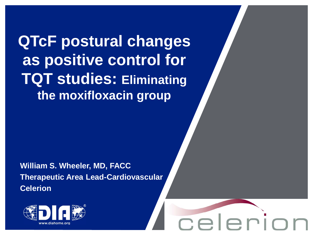**QTcF postural changes as positive control for TQT studies: Eliminating the moxifloxacin group**

**William S. Wheeler, MD, FACC Therapeutic Area Lead-Cardiovascular Celerion**

leri

 $ce$ 

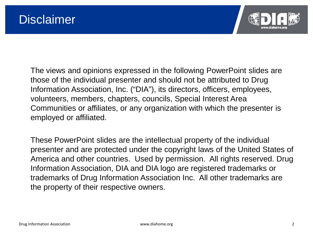

The views and opinions expressed in the following PowerPoint slides are those of the individual presenter and should not be attributed to Drug Information Association, Inc. ("DIA"), its directors, officers, employees, volunteers, members, chapters, councils, Special Interest Area Communities or affiliates, or any organization with which the presenter is employed or affiliated.

These PowerPoint slides are the intellectual property of the individual presenter and are protected under the copyright laws of the United States of America and other countries. Used by permission. All rights reserved. Drug Information Association, DIA and DIA logo are registered trademarks or trademarks of Drug Information Association Inc. All other trademarks are the property of their respective owners.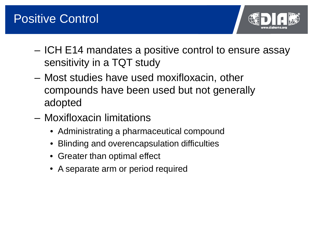

- ICH E14 mandates a positive control to ensure assay sensitivity in a TQT study
- Most studies have used moxifloxacin, other compounds have been used but not generally adopted
- Moxifloxacin limitations
	- Administrating a pharmaceutical compound
	- Blinding and overencapsulation difficulties
	- Greater than optimal effect
	- A separate arm or period required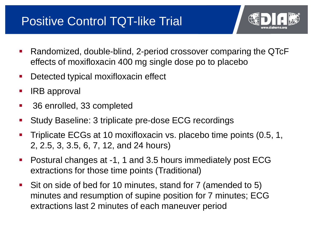## Positive Control TQT-like Trial



- Randomized, double-blind, 2-period crossover comparing the QTcF effects of moxifloxacin 400 mg single dose po to placebo
- Detected typical moxifloxacin effect
- IRB approval
- 36 enrolled, 33 completed
- Study Baseline: 3 triplicate pre-dose ECG recordings
- Triplicate ECGs at 10 moxifloxacin vs. placebo time points (0.5, 1, 2, 2.5, 3, 3.5, 6, 7, 12, and 24 hours)
- Postural changes at -1, 1 and 3.5 hours immediately post ECG extractions for those time points (Traditional)
- Sit on side of bed for 10 minutes, stand for 7 (amended to 5) minutes and resumption of supine position for 7 minutes; ECG extractions last 2 minutes of each maneuver period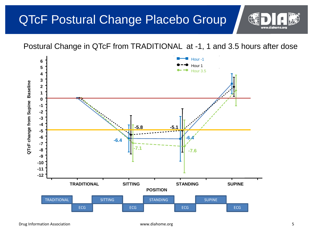### QTcF Postural Change Placebo Group



Postural Change in QTcF from TRADITIONAL at -1, 1 and 3.5 hours after dose

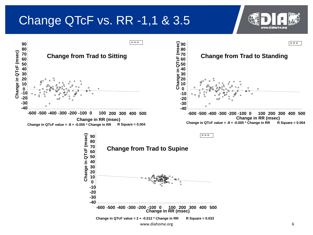#### Change QTcF vs. RR -1,1 & 3.5



www.diahome.org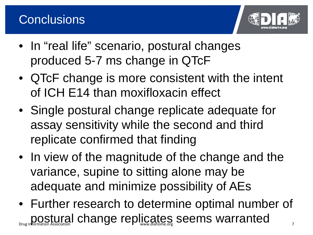

- In "real life" scenario, postural changes produced 5-7 ms change in QTcF
- QTcF change is more consistent with the intent of ICH E14 than moxifloxacin effect
- Single postural change replicate adequate for assay sensitivity while the second and third replicate confirmed that finding
- In view of the magnitude of the change and the variance, supine to sitting alone may be adequate and minimize possibility of AEs
- Further research to determine optimal number of  $\mathsf{D}_{\mathsf{D}_\mathsf{U}}$  postural change replicates seems warranted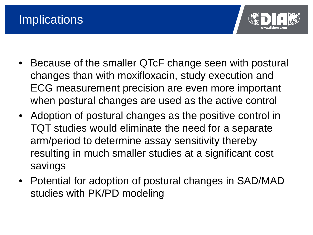



- Because of the smaller QTcF change seen with postural changes than with moxifloxacin, study execution and ECG measurement precision are even more important when postural changes are used as the active control
- Adoption of postural changes as the positive control in TQT studies would eliminate the need for a separate arm/period to determine assay sensitivity thereby resulting in much smaller studies at a significant cost savings
- Potential for adoption of postural changes in SAD/MAD studies with PK/PD modeling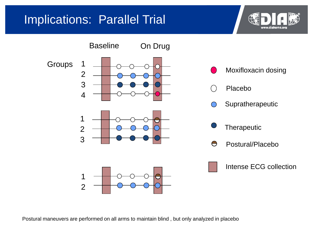## Implications: Parallel Trial



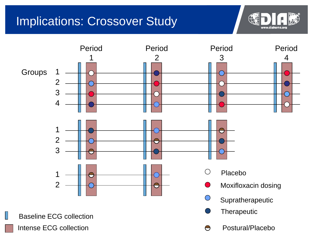# Implications: Crossover Study



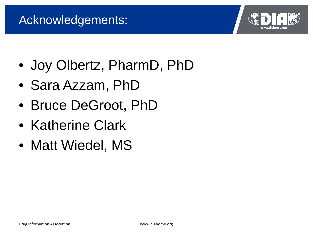

- Joy Olbertz, PharmD, PhD
- Sara Azzam, PhD
- Bruce DeGroot, PhD
- Katherine Clark
- Matt Wiedel, MS